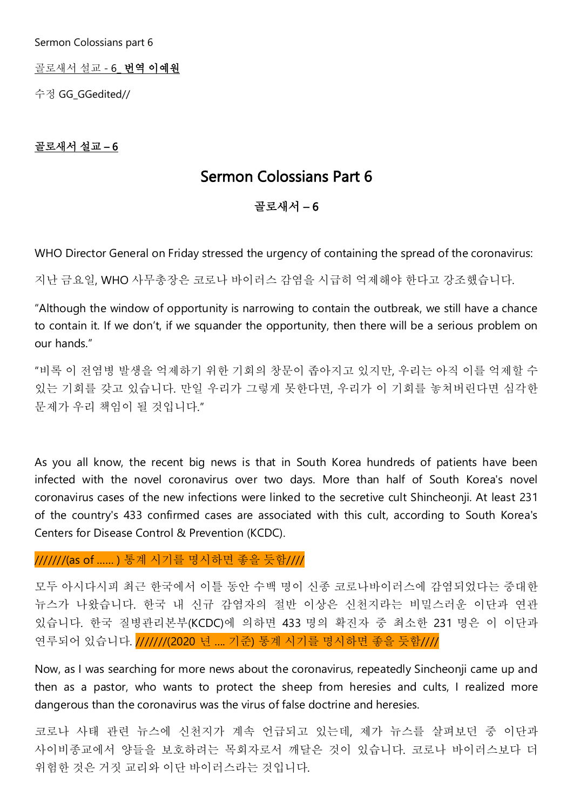Sermon Colossians part 6

골로새서 설교 - 6\_ 번역 이예원

수정 GG\_GGedited//

## 골로새서 설교 – 6

# Sermon Colossians Part 6

# 골로새서 – 6

WHO Director General on Friday stressed the urgency of containing the spread of the coronavirus:

지난 금요일, WHO 사무총장은 코로나 바이러스 감염을 시급히 억제해야 한다고 강조했습니다.

"Although the window of opportunity is narrowing to contain the outbreak, we still have a chance to contain it. If we don't, if we squander the opportunity, then there will be a serious problem on our hands."

"비록 이 전염병 발생을 억제하기 위한 기회의 창문이 좁아지고 있지만, 우리는 아직 이를 억제할 수 있는 기회를 갖고 있습니다. 만일 우리가 그렇게 못한다면, 우리가 이 기회를 놓쳐버린다면 심각한 문제가 우리 책임이 될 것입니다."

As you all know, the recent big news is that in South Korea hundreds of patients have been infected with the novel coronavirus over two days. More than half of South Korea's novel coronavirus cases of the new infections were linked to the secretive cult Shincheonji. At least 231 of the country's 433 confirmed cases are associated with this cult, according to South Korea's Centers for Disease Control & Prevention (KCDC).

///////(as of …… ) 통계 시기를 명시하면 좋을 듯함////

모두 아시다시피 최근 한국에서 이틀 동안 수백 명이 신종 코로나바이러스에 감염되었다는 중대한 뉴스가 나왔습니다. 한국 내 신규 감염자의 절반 이상은 신천지라는 비밀스러운 이단과 연관 있습니다. 한국 질병관리본부(KCDC)에 의하면 433 명의 확진자 중 최소한 231 명은 이 이단과 연루되어 있습니다. ///////(2020 년 …. 기준) 통계 시기를 명시하면 좋을 듯함////

Now, as I was searching for more news about the coronavirus, repeatedly Sincheonji came up and then as a pastor, who wants to protect the sheep from heresies and cults, I realized more dangerous than the coronavirus was the virus of false doctrine and heresies.

코로나 사태 관련 뉴스에 신천지가 계속 언급되고 있는데, 제가 뉴스를 살펴보던 중 이단과 사이비종교에서 양들을 보호하려는 목회자로서 깨달은 것이 있습니다. 코로나 바이러스보다 더 위험한 것은 거짓 교리와 이단 바이러스라는 것입니다.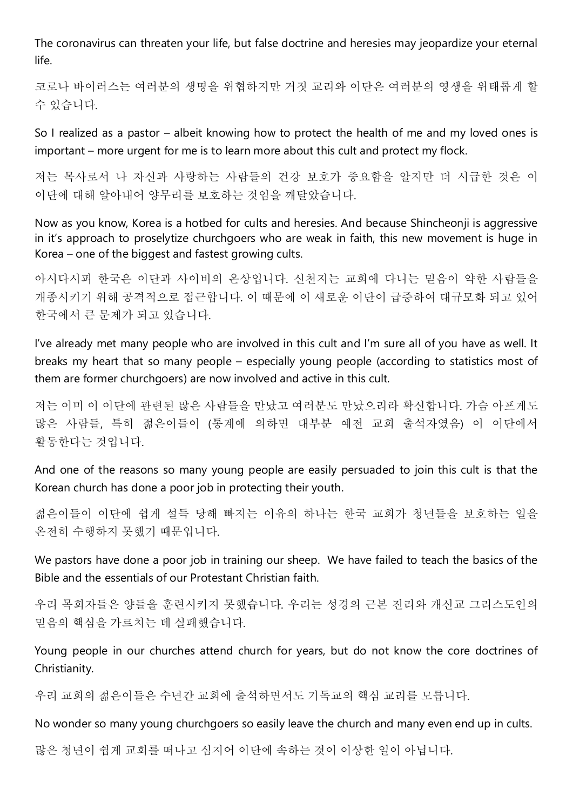The coronavirus can threaten your life, but false doctrine and heresies may jeopardize your eternal life.

코로나 바이러스는 여러분의 생명을 위협하지만 거짓 교리와 이단은 여러분의 영생을 위태롭게 할 수 있습니다.

So I realized as a pastor – albeit knowing how to protect the health of me and my loved ones is important – more urgent for me is to learn more about this cult and protect my flock.

저는 목사로서 나 자신과 사랑하는 사람들의 건강 보호가 중요함을 알지만 더 시급한 것은 이 이단에 대해 알아내어 양무리를 보호하는 것임을 깨달았습니다.

Now as you know, Korea is a hotbed for cults and heresies. And because Shincheonji is aggressive in it's approach to proselytize churchgoers who are weak in faith, this new movement is huge in Korea – one of the biggest and fastest growing cults.

아시다시피 한국은 이단과 사이비의 온상입니다. 신천지는 교회에 다니는 믿음이 약한 사람들을 개종시키기 위해 공격적으로 접근합니다. 이 때문에 이 새로운 이단이 급증하여 대규모화 되고 있어 한국에서 큰 문제가 되고 있습니다.

I've already met many people who are involved in this cult and I'm sure all of you have as well. It breaks my heart that so many people – especially young people (according to statistics most of them are former churchgoers) are now involved and active in this cult.

저는 이미 이 이단에 관련된 많은 사람들을 만났고 여러분도 만났으리라 확신합니다. 가슴 아프게도 많은 사람들, 특히 젊은이들이 (통계에 의하면 대부분 예전 교회 출석자였음) 이 이단에서 활동한다는 것입니다.

And one of the reasons so many young people are easily persuaded to join this cult is that the Korean church has done a poor job in protecting their youth.

젊은이들이 이단에 쉽게 설득 당해 빠지는 이유의 하나는 한국 교회가 청년들을 보호하는 일을 온전히 수행하지 못했기 때문입니다.

We pastors have done a poor job in training our sheep. We have failed to teach the basics of the Bible and the essentials of our Protestant Christian faith.

우리 목회자들은 양들을 훈련시키지 못했습니다. 우리는 성경의 근본 진리와 개신교 그리스도인의 믿음의 핵심을 가르치는 데 실패했습니다.

Young people in our churches attend church for years, but do not know the core doctrines of Christianity.

우리 교회의 젊은이들은 수년간 교회에 출석하면서도 기독교의 핵심 교리를 모릅니다.

No wonder so many young churchgoers so easily leave the church and many even end up in cults.

많은 청년이 쉽게 교회를 떠나고 심지어 이단에 속하는 것이 이상한 일이 아닙니다.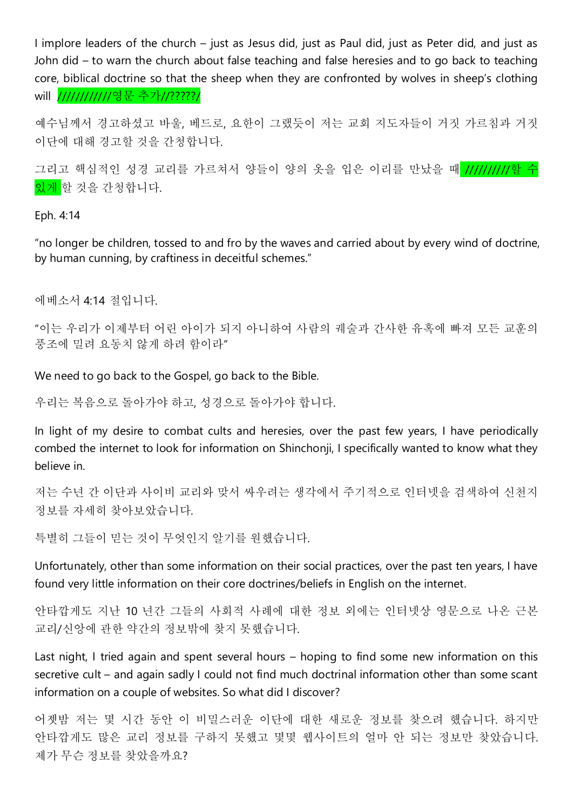I implore leaders of the church – just as Jesus did, just as Paul did, just as Peter did, and just as John did – to warn the church about false teaching and false heresies and to go back to teaching core, biblical doctrine so that the sheep when they are confronted by wolves in sheep's clothing will *//////////////영문 추가//?????/* 

예수님께서 경고하셨고 바울, 베드로, 요한이 그랬듯이 저는 교회 지도자들이 거짓 가르침과 거짓 이단에 대해 경고할 것을 간청합니다.

그리고 핵심적인 성경 교리를 가르쳐서 양들이 양의 옷을 입은 이리를 만났을 때 //////////할 수 있게 할 것을 간청합니다.

Eph. 4:14

"no longer be children, tossed to and fro by the waves and carried about by every wind of doctrine, by human cunning, by craftiness in deceitful schemes."

에베소서 4:14 절입니다.

"이는 우리가 이제부터 어린 아이가 되지 아니하여 사람의 궤술과 간사한 유혹에 빠져 모든 교훈의 풍조에 밀려 요동치 않게 하려 함이라"

We need to go back to the Gospel, go back to the Bible.

우리는 복음으로 돌아가야 하고, 성경으로 돌아가야 합니다.

In light of my desire to combat cults and heresies, over the past few years, I have periodically combed the internet to look for information on Shinchonji, I specifically wanted to know what they believe in.

저는 수년 간 이단과 사이비 교리와 맞서 싸우려는 생각에서 주기적으로 인터넷을 검색하여 신천지 정보를 자세히 찾아보았습니다.

특별히 그들이 믿는 것이 무엇인지 알기를 원했습니다.

Unfortunately, other than some information on their social practices, over the past ten years, I have found very little information on their core doctrines/beliefs in English on the internet.

안타깝게도 지난 10 년간 그들의 사회적 사례에 대한 정보 외에는 인터넷상 영문으로 나온 근본 교리/신앙에 관한 약간의 정보밖에 찾지 못했습니다.

Last night, I tried again and spent several hours – hoping to find some new information on this secretive cult – and again sadly I could not find much doctrinal information other than some scant information on a couple of websites. So what did I discover?

어젯밤 저는 몇 시간 동안 이 비밀스러운 이단에 대한 새로운 정보를 찾으려 했습니다. 하지만 안타깝게도 많은 교리 정보를 구하지 못했고 몇몇 웹사이트의 얼마 안 되는 정보만 찾았습니다. 제가 무슨 정보를 찾았을까요?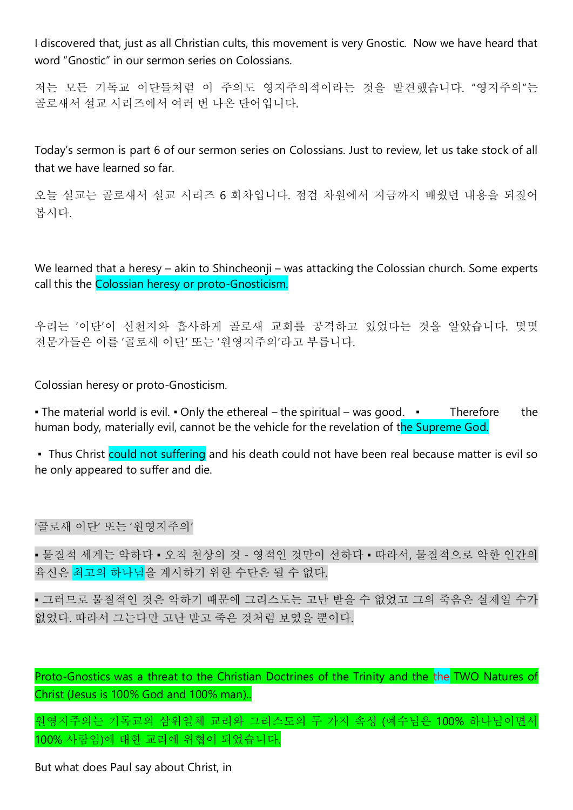I discovered that, just as all Christian cults, this movement is very Gnostic. Now we have heard that word "Gnostic" in our sermon series on Colossians.

저는 모든 기독교 이단들처럼 이 주의도 영지주의적이라는 것을 발견했습니다. "영지주의"는 골로새서 설교 시리즈에서 여러 번 나온 단어입니다.

Today's sermon is part 6 of our sermon series on Colossians. Just to review, let us take stock of all that we have learned so far.

오늘 설교는 골로새서 설교 시리즈 6 회차입니다. 점검 차원에서 지금까지 배웠던 내용을 되짚어 봅시다.

We learned that a heresy – akin to Shincheonii – was attacking the Colossian church. Some experts call this the Colossian heresy or proto-Gnosticism.

우리는 '이단'이 신천지와 흡사하게 골로새 교회를 공격하고 있었다는 것을 알았습니다. 몇몇 전문가들은 이를 '골로새 이단' 또는 '원영지주의'라고 부릅니다.

Colossian heresy or proto-Gnosticism.

■ The material world is evil. ■ Only the ethereal – the spiritual – was good. ■ Therefore the human body, materially evil, cannot be the vehicle for the revelation of the Supreme God.

• Thus Christ could not suffering and his death could not have been real because matter is evil so he only appeared to suffer and die.

'골로새 이단' 또는 '원영지주의'

▪ 물질적 세계는 악하다 ▪ 오직 천상의 것 - 영적인 것만이 선하다 ▪ 따라서, 물질적으로 악한 인간의 육신은 최고의 하나님을 계시하기 위한 수단은 될 수 없다.

▪ 그러므로 물질적인 것은 악하기 때문에 그리스도는 고난 받을 수 없었고 그의 죽음은 실제일 수가 없었다. 따라서 그는다만 고난 받고 죽은 것처럼 보였을 뿐이다.

Proto-Gnostics was a threat to the Christian Doctrines of the Trinity and the the TWO Natures of Christ (Jesus is 100% God and 100% man)..

원영지주의는 기독교의 삼위일체 교리와 그리스도의 두 가지 속성 (예수님은 100% 하나님이면서 100% 사람임)에 대한 교리에 위협이 되었습니다.

But what does Paul say about Christ, in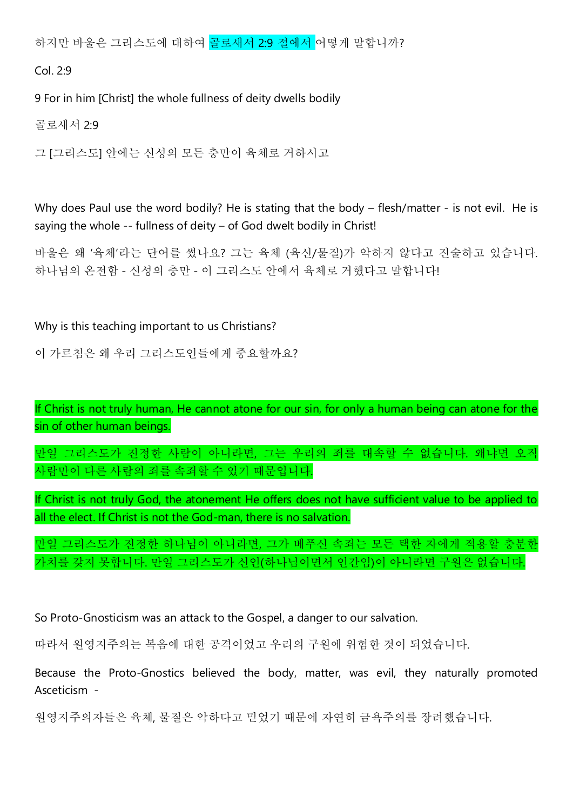하지만 바울은 그리스도에 대하여 골로새서 2:9 절에서 어떻게 말합니까?

Col. 2:9

9 For in him [Christ] the whole fullness of deity dwells bodily

골로새서 2:9

그 [그리스도] 안에는 신성의 모든 충만이 육체로 거하시고

Why does Paul use the word bodily? He is stating that the body – flesh/matter - is not evil. He is saying the whole -- fullness of deity – of God dwelt bodily in Christ!

바울은 왜 '육체'라는 단어를 썼나요? 그는 육체 (육신/물질)가 악하지 않다고 진술하고 있습니다. 하나님의 온전함 - 신성의 충만 - 이 그리스도 안에서 육체로 거했다고 말합니다!

#### Why is this teaching important to us Christians?

이 가르침은 왜 우리 그리스도인들에게 중요할까요?

If Christ is not truly human, He cannot atone for our sin, for only a human being can atone for the sin of other human beings.

만일 그리스도가 진정한 사람이 아니라면, 그는 우리의 죄를 대속할 수 없습니다. 왜냐면 오직 사람만이 다른 사람의 죄를 속죄할 수 있기 때문입니다.

If Christ is not truly God, the atonement He offers does not have sufficient value to be applied to all the elect. If Christ is not the God-man, there is no salvation.

만일 그리스도가 진정한 하나님이 아니라면, 그가 베푸신 속죄는 모든 택한 자에게 적용할 충분한 가치를 갖지 못합니다. 만일 그리스도가 신인(하나님이면서 인간임)이 아니라면 구원은 없습니다.

So Proto-Gnosticism was an attack to the Gospel, a danger to our salvation.

따라서 원영지주의는 복음에 대한 공격이었고 우리의 구원에 위험한 것이 되었습니다.

Because the Proto-Gnostics believed the body, matter, was evil, they naturally promoted Asceticism -

원영지주의자들은 육체, 물질은 악하다고 믿었기 때문에 자연히 금욕주의를 장려했습니다.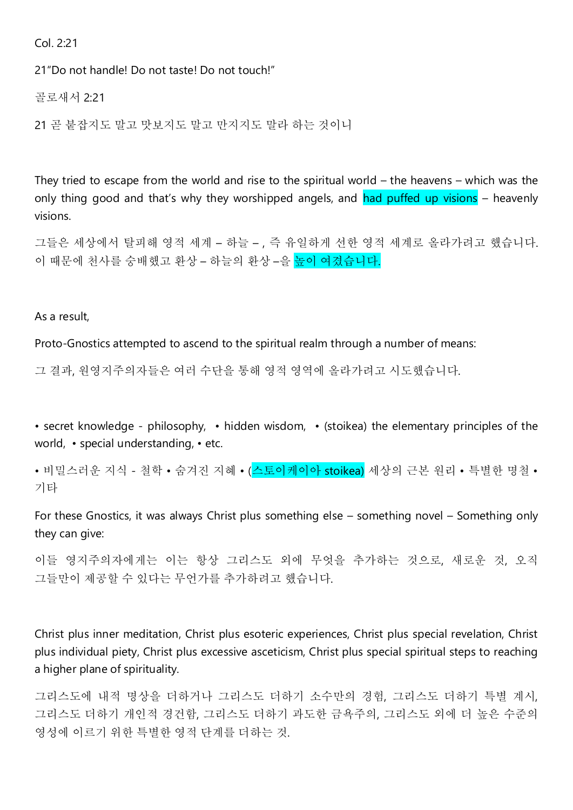Col. 2:21

21"Do not handle! Do not taste! Do not touch!"

골로새서 2:21

21 곧 붙잡지도 말고 맛보지도 말고 만지지도 말라 하는 것이니

They tried to escape from the world and rise to the spiritual world – the heavens – which was the only thing good and that's why they worshipped angels, and had puffed up visions – heavenly visions.

그들은 세상에서 탈피해 영적 세계 – 하늘 – , 즉 유일하게 선한 영적 세계로 올라가려고 했습니다. 이 때문에 천사를 숭배했고 환상 – 하늘의 환상 –을 높이 여겼습니다.

As a result,

Proto-Gnostics attempted to ascend to the spiritual realm through a number of means:

그 결과, 원영지주의자들은 여러 수단을 통해 영적 영역에 올라가려고 시도했습니다.

• secret knowledge - philosophy, • hidden wisdom, • (stoikea) the elementary principles of the world, • special understanding, • etc.

• 비밀스러운 지식 - 철학 • 숨겨진 지혜 • (<mark>스토이케이아 stoikea)</mark> 세상의 근본 워리 • 특별한 명철 • 기타

For these Gnostics, it was always Christ plus something else – something novel – Something only they can give:

이들 영지주의자에게는 이는 항상 그리스도 외에 무엇을 추가하는 것으로, 새로운 것, 오직 그들만이 제공할 수 있다는 무언가를 추가하려고 했습니다.

Christ plus inner meditation, Christ plus esoteric experiences, Christ plus special revelation, Christ plus individual piety, Christ plus excessive asceticism, Christ plus special spiritual steps to reaching a higher plane of spirituality.

그리스도에 내적 명상을 더하거나 그리스도 더하기 소수만의 경험, 그리스도 더하기 특별 계시, 그리스도 더하기 개인적 경건함, 그리스도 더하기 과도한 금욕주의, 그리스도 외에 더 높은 수준의 영성에 이르기 위한 특별한 영적 단계를 더하는 것.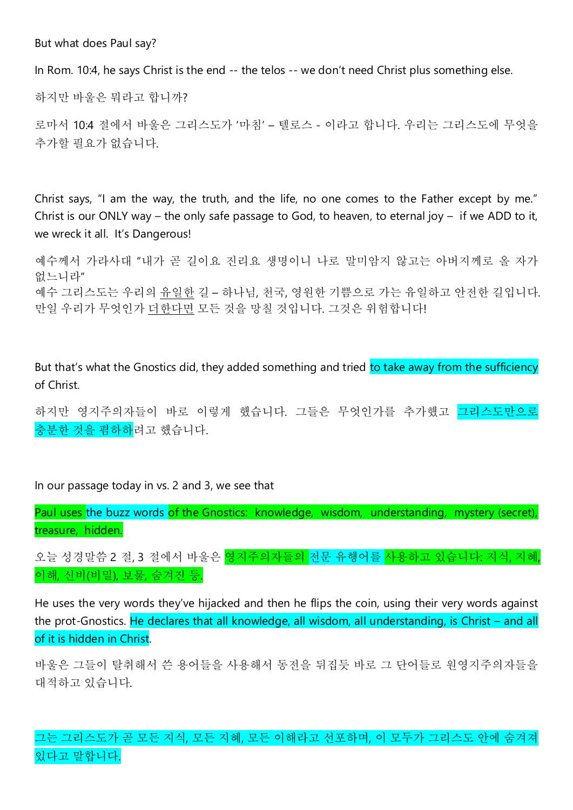But what does Paul say?

In Rom. 10:4, he says Christ is the end -- the telos -- we don't need Christ plus something else.

하지만 바울은 뭐라고 합니까?

로마서 10:4 절에서 바울은 그리스도가 '마침' – 텔로스 - 이라고 합니다. 우리는 그리스도에 무엇을 추가할 필요가 없습니다.

Christ says, "I am the way, the truth, and the life, no one comes to the Father except by me." Christ is our ONLY way – the only safe passage to God, to heaven, to eternal joy – if we ADD to it, we wreck it all. It's Dangerous!

예수께서 가라사대 "내가 곧 길이요 진리요 생명이니 나로 말미암지 않고는 아버지께로 올 자가 없느니라" 예수 그리스도는 우리의 유일한 길 – 하나님, 천국, 영원한 기쁨으로 가는 유일하고 안전한 길입니다. 만일 우리가 무엇인가 더한다면 모든 것을 망칠 것입니다. 그것은 위험합니다!

But that's what the Gnostics did, they added something and tried to take away from the sufficiency of Christ.

하지만 영지주의자들이 바로 이렇게 했습니다. 그들은 무엇인가를 추가했고 그리스도만으로 충분한 것을 폄하하려고 했습니다.

In our passage today in vs. 2 and 3, we see that

Paul uses the buzz words of the Gnostics: knowledge, wisdom, understanding, mystery (secret), treasure, hidden.

오늘 성경말씀 2 절, 3 절에서 바울은 <mark>영지주의자들의 전문 유행어를 사용하고 있습니다: 지식, 지혜,</mark> 이해, 신비(비밀), 보물, 숨겨진 등.

He uses the very words they've hijacked and then he flips the coin, using their very words against the prot-Gnostics. He declares that all knowledge, all wisdom, all understanding, is Christ – and all of it is hidden in Christ.

바울은 그들이 탈취해서 쓴 용어들을 사용해서 동전을 뒤집듯 바로 그 단어들로 원영지주의자들을 대적하고 있습니다.

그는 그리스도가 곧 모든 지식, 모든 지혜, 모든 이해라고 선포하며, 이 모두가 그리스도 안에 숨겨져 있다고 말합니다.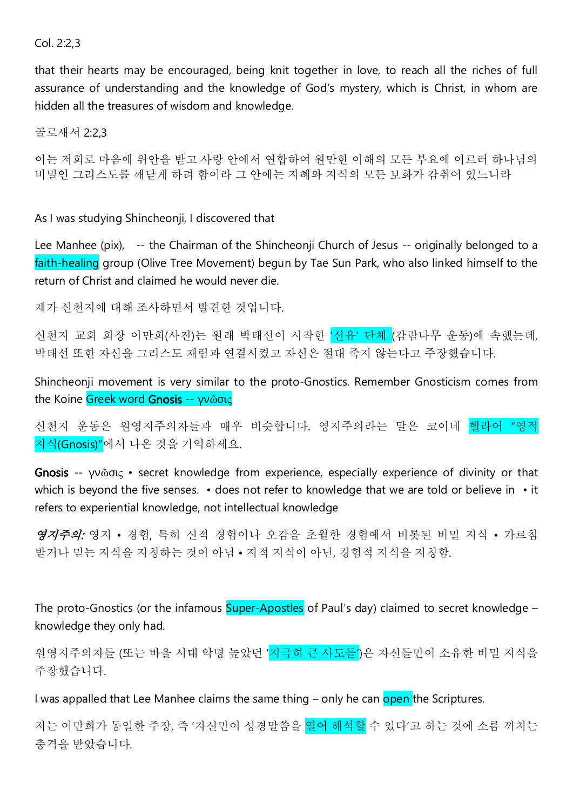## Col. 2:2,3

that their hearts may be encouraged, being knit together in love, to reach all the riches of full assurance of understanding and the knowledge of God's mystery, which is Christ, in whom are hidden all the treasures of wisdom and knowledge.

골로새서 2:2,3

이는 저희로 마음에 위안을 받고 사랑 안에서 연합하여 원만한 이해의 모든 부요에 이르러 하나님의 비밀인 그리스도를 깨닫게 하려 함이라 그 안에는 지혜와 지식의 모든 보화가 감취어 있느니라

As I was studying Shincheonji, I discovered that

Lee Manhee (pix), -- the Chairman of the Shincheonji Church of Jesus -- originally belonged to a faith-healing group (Olive Tree Movement) begun by Tae Sun Park, who also linked himself to the return of Christ and claimed he would never die.

제가 신천지에 대해 조사하면서 발견한 것입니다.

신천지 교회 회장 이만희(사진)는 원래 박태선이 시작한 '신유' 단체 (감람나무 운동)에 속했는데, 박태선 또한 자신을 그리스도 재림과 연결시켰고 자신은 절대 죽지 않는다고 주장했습니다.

Shincheonji movement is very similar to the proto-Gnostics. Remember Gnosticism comes from the Koine Greek word Gnosis -- γνῶσις

신천지 운동은 원영지주의자들과 매우 비슷합니다. 영지주의라는 말은 코이네 헬라어 "영적 지식(Gnosis)"에서 나온 것을 기억하세요.

Gnosis -- γνῶσις • secret knowledge from experience, especially experience of divinity or that which is beyond the five senses. • does not refer to knowledge that we are told or believe in • it refers to experiential knowledge, not intellectual knowledge

영지주의: 영지 • 경험, 특히 신적 경험이나 오감을 초월한 경험에서 비롯된 비밀 지식 • 가르침 받거나 믿는 지식을 지칭하는 것이 아님 • 지적 지식이 아닌, 경험적 지식을 지칭함.

The proto-Gnostics (or the infamous Super-Apostles of Paul's day) claimed to secret knowledge – knowledge they only had.

원영지주의자들 (또는 바울 시대 악명 높았던 '<mark>지극히 큰 사도들'</mark>)은 자신들만이 소유한 비밀 지식을 주장했습니다.

I was appalled that Lee Manhee claims the same thing – only he can open the Scriptures.

저는 이만희가 동일한 주장, 즉 '자신만이 성경말씀을 <mark>열어 해석할</mark> 수 있다'고 하는 것에 소름 끼치는 충격을 받았습니다.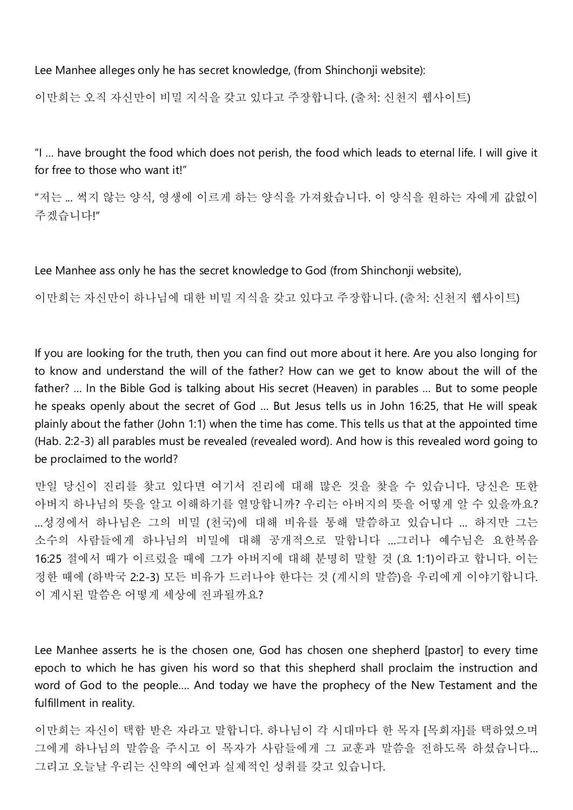Lee Manhee alleges only he has secret knowledge, (from Shinchonji website):

이만희는 오직 자신만이 비밀 지식을 갖고 있다고 주장합니다. (출처: 신천지 웹사이트)

"I … have brought the food which does not perish, the food which leads to eternal life. I will give it for free to those who want it!"

"저는 ... 썩지 않는 양식, 영생에 이르게 하는 양식을 가져왔습니다. 이 양식을 원하는 자에게 값없이 주겠습니다!"

Lee Manhee ass only he has the secret knowledge to God (from Shinchonji website),

이만희는 자신만이 하나님에 대한 비밀 지식을 갖고 있다고 주장합니다. (출처: 신천지 웹사이트)

If you are looking for the truth, then you can find out more about it here. Are you also longing for to know and understand the will of the father? How can we get to know about the will of the father? … In the Bible God is talking about His secret (Heaven) in parables … But to some people he speaks openly about the secret of God … But Jesus tells us in John 16:25, that He will speak plainly about the father (John 1:1) when the time has come. This tells us that at the appointed time (Hab. 2:2-3) all parables must be revealed (revealed word). And how is this revealed word going to be proclaimed to the world?

만일 당신이 진리를 찾고 있다면 여기서 진리에 대해 많은 것을 찾을 수 있습니다. 당신은 또한 아버지 하나님의 뜻을 알고 이해하기를 열망합니까? 우리는 아버지의 뜻을 어떻게 알 수 있을까요? …성경에서 하나님은 그의 비밀 (천국)에 대해 비유를 통해 말씀하고 있습니다 … 하지만 그는 소수의 사람들에게 하나님의 비밀에 대해 공개적으로 말합니다 …그러나 예수님은 요한복음 16:25 절에서 때가 이르렀을 때에 그가 아버지에 대해 분명히 말할 것 (요 1:1)이라고 합니다. 이는 정한 때에 (하박국 2:2-3) 모든 비유가 드러나야 한다는 것 (계시의 말씀)을 우리에게 이야기합니다. 이 계시된 말씀은 어떻게 세상에 전파될까요?

Lee Manhee asserts he is the chosen one, God has chosen one shepherd [pastor] to every time epoch to which he has given his word so that this shepherd shall proclaim the instruction and word of God to the people…. And today we have the prophecy of the New Testament and the fulfillment in reality.

이만희는 자신이 택함 받은 자라고 말합니다. 하나님이 각 시대마다 한 목자 [목회자]를 택하였으며 그에게 하나님의 말씀을 주시고 이 목자가 사람들에게 그 교훈과 말씀을 전하도록 하셨습니다… 그리고 오늘날 우리는 신약의 예언과 실제적인 성취를 갖고 있습니다.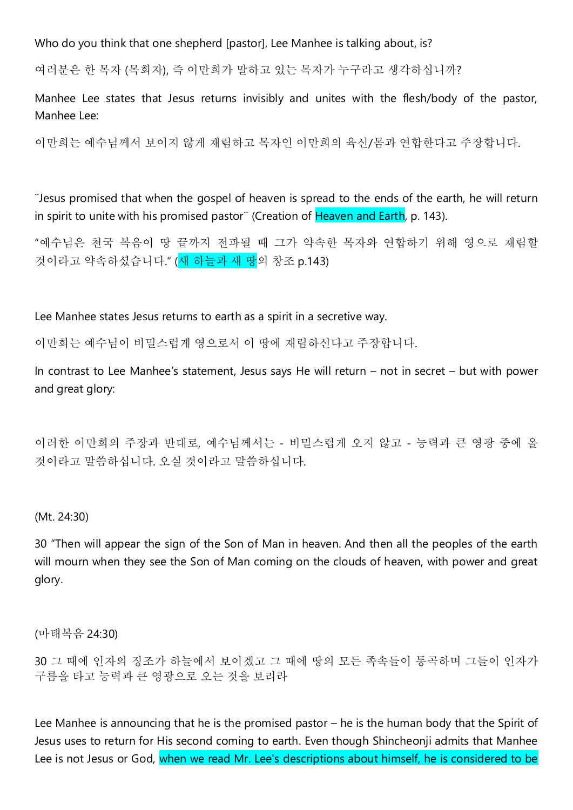Who do you think that one shepherd [pastor], Lee Manhee is talking about, is?

여러분은 한 목자 (목회자), 즉 이만희가 말하고 있는 목자가 누구라고 생각하십니까?

Manhee Lee states that Jesus returns invisibly and unites with the flesh/body of the pastor, Manhee Lee:

이만희는 예수님께서 보이지 않게 재림하고 목자인 이만희의 육신/몸과 연합한다고 주장합니다.

¨Jesus promised that when the gospel of heaven is spread to the ends of the earth, he will return in spirit to unite with his promised pastor¨ (Creation of Heaven and Earth, p. 143).

"예수님은 천국 복음이 땅 끝까지 전파될 때 그가 약속한 목자와 연합하기 위해 영으로 재림할 것이라고 약속하셨습니다." (새 하늘과 새 땅의 창조 p.143)

Lee Manhee states Jesus returns to earth as a spirit in a secretive way.

이만희는 예수님이 비밀스럽게 영으로서 이 땅에 재림하신다고 주장합니다.

In contrast to Lee Manhee's statement, Jesus says He will return – not in secret – but with power and great glory:

이러한 이만희의 주장과 반대로, 예수님께서는 - 비밀스럽게 오지 않고 - 능력과 큰 영광 중에 올 것이라고 말씀하십니다. 오실 것이라고 말씀하십니다.

#### (Mt. 24:30)

30 "Then will appear the sign of the Son of Man in heaven. And then all the peoples of the earth will mourn when they see the Son of Man coming on the clouds of heaven, with power and great glory.

(마태복음 24:30)

30 그 때에 인자의 징조가 하늘에서 보이겠고 그 때에 땅의 모든 족속들이 통곡하며 그들이 인자가 구름을 타고 능력과 큰 영광으로 오는 것을 보리라

Lee Manhee is announcing that he is the promised pastor – he is the human body that the Spirit of Jesus uses to return for His second coming to earth. Even though Shincheonji admits that Manhee Lee is not Jesus or God, when we read Mr. Lee's descriptions about himself, he is considered to be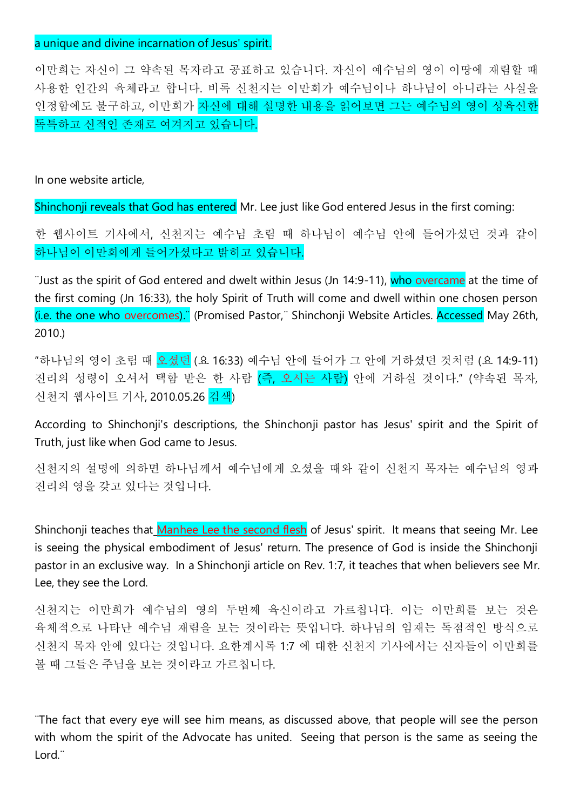#### a unique and divine incarnation of Jesus' spirit.

이만희는 자신이 그 약속된 목자라고 공표하고 있습니다. 자신이 예수님의 영이 이땅에 재림할 때 사용한 인간의 육체라고 합니다. 비록 신천지는 이만희가 예수님이나 하나님이 아니라는 사실을 인정함에도 불구하고, 이만희가 자신에 대해 설명한 내용을 읽어보면 그는 예수님의 영이 성육신한 독특하고 신적인 존재로 여겨지고 있습니다.

In one website article,

Shinchonji reveals that God has entered Mr. Lee just like God entered Jesus in the first coming:

한 웹사이트 기사에서, 신천지는 예수님 초림 때 하나님이 예수님 안에 들어가셨던 것과 같이 하나님이 이만희에게 들어가셨다고 밝히고 있습니다.

¨Just as the spirit of God entered and dwelt within Jesus (Jn 14:9-11), who overcame at the time of the first coming (Jn 16:33), the holy Spirit of Truth will come and dwell within one chosen person (i.e. the one who overcomes).¨ (Promised Pastor,¨ Shinchonji Website Articles. Accessed May 26th, 2010.)

"하나님의 영이 초림 때 오셨던 (요 16:33) 예수님 안에 들어가 그 안에 거하셨던 것처럼 (요 14:9-11) 진리의 성령이 오셔서 택함 받은 한 사람 (즉, 오시는 사람) 안에 거하실 것이다." (약속된 목자, 신천지 웹사이트 기사, 2010.05.26 검색)

According to Shinchonji's descriptions, the Shinchonji pastor has Jesus' spirit and the Spirit of Truth, just like when God came to Jesus.

신천지의 설명에 의하면 하나님께서 예수님에게 오셨을 때와 같이 신천지 목자는 예수님의 영과 진리의 영을 갖고 있다는 것입니다.

Shinchonji teaches that Manhee Lee the second flesh of Jesus' spirit. It means that seeing Mr. Lee is seeing the physical embodiment of Jesus' return. The presence of God is inside the Shinchonji pastor in an exclusive way. In a Shinchonji article on Rev. 1:7, it teaches that when believers see Mr. Lee, they see the Lord.

신천지는 이만희가 예수님의 영의 두번째 육신이라고 가르칩니다. 이는 이만희를 보는 것은 육체적으로 나타난 예수님 재림을 보는 것이라는 뜻입니다. 하나님의 임재는 독점적인 방식으로 신천지 목자 안에 있다는 것입니다. 요한계시록 1:7 에 대한 신천지 기사에서는 신자들이 이만희를 볼 때 그들은 주님을 보는 것이라고 가르칩니다.

¨The fact that every eye will see him means, as discussed above, that people will see the person with whom the spirit of the Advocate has united. Seeing that person is the same as seeing the Lord.¨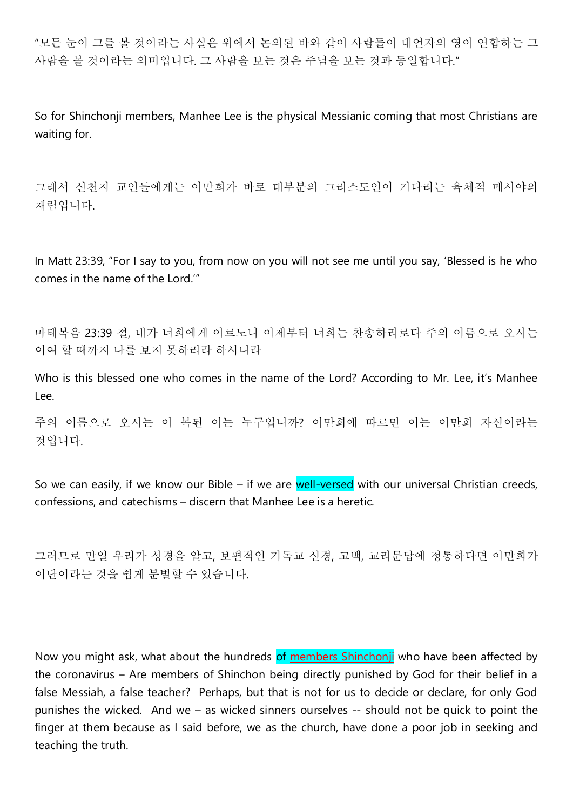"모든 눈이 그를 볼 것이라는 사실은 위에서 논의된 바와 같이 사람들이 대언자의 영이 연합하는 그 사람을 볼 것이라는 의미입니다. 그 사람을 보는 것은 주님을 보는 것과 동일합니다."

So for Shinchonji members, Manhee Lee is the physical Messianic coming that most Christians are waiting for.

그래서 신천지 교인들에게는 이만희가 바로 대부분의 그리스도인이 기다리는 육체적 메시야의 재림입니다.

In Matt 23:39, "For I say to you, from now on you will not see me until you say, 'Blessed is he who comes in the name of the Lord.'"

마태복음 23:39 절, 내가 너희에게 이르노니 이제부터 너희는 찬송하리로다 주의 이름으로 오시는 이여 할 때까지 나를 보지 못하리라 하시니라

Who is this blessed one who comes in the name of the Lord? According to Mr. Lee, it's Manhee Lee.

주의 이름으로 오시는 이 복된 이는 누구입니까? 이만희에 따르면 이는 이만희 자신이라는 것입니다.

So we can easily, if we know our Bible – if we are well-versed with our universal Christian creeds, confessions, and catechisms – discern that Manhee Lee is a heretic.

그러므로 만일 우리가 성경을 알고, 보편적인 기독교 신경, 고백, 교리문답에 정통하다면 이만희가 이단이라는 것을 쉽게 분별할 수 있습니다.

Now you might ask, what about the hundreds of members Shinchonji who have been affected by the coronavirus – Are members of Shinchon being directly punished by God for their belief in a false Messiah, a false teacher? Perhaps, but that is not for us to decide or declare, for only God punishes the wicked. And we – as wicked sinners ourselves -- should not be quick to point the finger at them because as I said before, we as the church, have done a poor job in seeking and teaching the truth.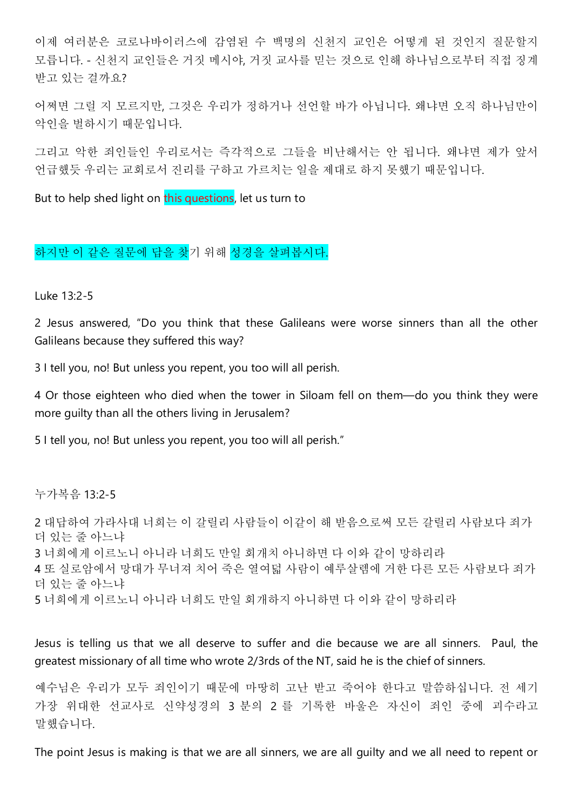이제 여러분은 코로나바이러스에 감염된 수 백명의 신천지 교인은 어떻게 된 것인지 질문할지 모릅니다. - 신천지 교인들은 거짓 메시야, 거짓 교사를 믿는 것으로 인해 하나님으로부터 직접 징계 받고 있는 걸까요?

어쩌면 그럴 지 모르지만, 그것은 우리가 정하거나 선언할 바가 아닙니다. 왜냐면 오직 하나님만이 악인을 벌하시기 때문입니다.

그리고 악한 죄인들인 우리로서는 즉각적으로 그들을 비난해서는 안 됩니다. 왜냐면 제가 앞서 언급했듯 우리는 교회로서 진리를 구하고 가르치는 일을 제대로 하지 못했기 때문입니다.

But to help shed light on this questions, let us turn to

# 하지만 이 같은 질문에 답을 찾기 위해 성경을 살펴봅시다.

Luke 13:2-5

2 Jesus answered, "Do you think that these Galileans were worse sinners than all the other Galileans because they suffered this way?

3 I tell you, no! But unless you repent, you too will all perish.

4 Or those eighteen who died when the tower in Siloam fell on them—do you think they were more guilty than all the others living in Jerusalem?

5 I tell you, no! But unless you repent, you too will all perish."

누가복음 13:2-5

```
2 대답하여 가라사대 너희는 이 갈릴리 사람들이 이같이 해 받음으로써 모든 갈릴리 사람보다 죄가
더 있는 줄 아느냐
3 너희에게 이르노니 아니라 너희도 만일 회개치 아니하면 다 이와 같이 망하리라
4 또 실로암에서 망대가 무너져 치어 죽은 열여덟 사람이 예루살렘에 거한 다른 모든 사람보다 죄가
더 있는 줄 아느냐
5 너희에게 이르노니 아니라 너희도 만일 회개하지 아니하면 다 이와 같이 망하리라
```
Jesus is telling us that we all deserve to suffer and die because we are all sinners. Paul, the greatest missionary of all time who wrote 2/3rds of the NT, said he is the chief of sinners.

예수님은 우리가 모두 죄인이기 때문에 마땅히 고난 받고 죽어야 한다고 말씀하십니다. 전 세기 가장 위대한 선교사로 신약성경의 3 분의 2 를 기록한 바울은 자신이 죄인 중에 괴수라고 말했습니다.

The point Jesus is making is that we are all sinners, we are all guilty and we all need to repent or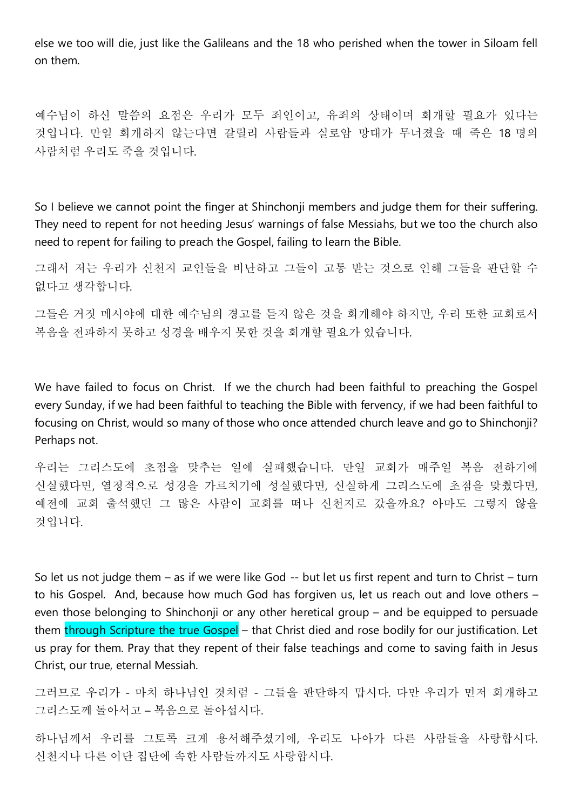else we too will die, just like the Galileans and the 18 who perished when the tower in Siloam fell on them.

예수님이 하신 말씀의 요점은 우리가 모두 죄인이고, 유죄의 상태이며 회개할 필요가 있다는 것입니다. 만일 회개하지 않는다면 갈릴리 사람들과 실로암 망대가 무너졌을 때 죽은 18 명의 사람처럼 우리도 죽을 것입니다.

So I believe we cannot point the finger at Shinchonii members and judge them for their suffering. They need to repent for not heeding Jesus' warnings of false Messiahs, but we too the church also need to repent for failing to preach the Gospel, failing to learn the Bible.

그래서 저는 우리가 신천지 교인들을 비난하고 그들이 고통 받는 것으로 인해 그들을 판단할 수 없다고 생각합니다.

그들은 거짓 메시야에 대한 예수님의 경고를 듣지 않은 것을 회개해야 하지만, 우리 또한 교회로서 복음을 전파하지 못하고 성경을 배우지 못한 것을 회개할 필요가 있습니다.

We have failed to focus on Christ. If we the church had been faithful to preaching the Gospel every Sunday, if we had been faithful to teaching the Bible with fervency, if we had been faithful to focusing on Christ, would so many of those who once attended church leave and go to Shinchonji? Perhaps not.

우리는 그리스도에 초점을 맞추는 일에 실패했습니다. 만일 교회가 매주일 복음 전하기에 신실했다면, 열정적으로 성경을 가르치기에 성실했다면, 신실하게 그리스도에 초점을 맞췄다면, 예전에 교회 출석했던 그 많은 사람이 교회를 떠나 신천지로 갔을까요? 아마도 그렇지 않을 것입니다.

So let us not judge them – as if we were like God -- but let us first repent and turn to Christ – turn to his Gospel. And, because how much God has forgiven us, let us reach out and love others – even those belonging to Shinchonji or any other heretical group – and be equipped to persuade them through Scripture the true Gospel – that Christ died and rose bodily for our justification. Let us pray for them. Pray that they repent of their false teachings and come to saving faith in Jesus Christ, our true, eternal Messiah.

그러므로 우리가 - 마치 하나님인 것처럼 - 그들을 판단하지 맙시다. 다만 우리가 먼저 회개하고 그리스도께 돌아서고 – 복음으로 돌아섭시다.

하나님께서 우리를 그토록 크게 용서해주셨기에, 우리도 나아가 다른 사람들을 사랑합시다. 신천지나 다른 이단 집단에 속한 사람들까지도 사랑합시다.